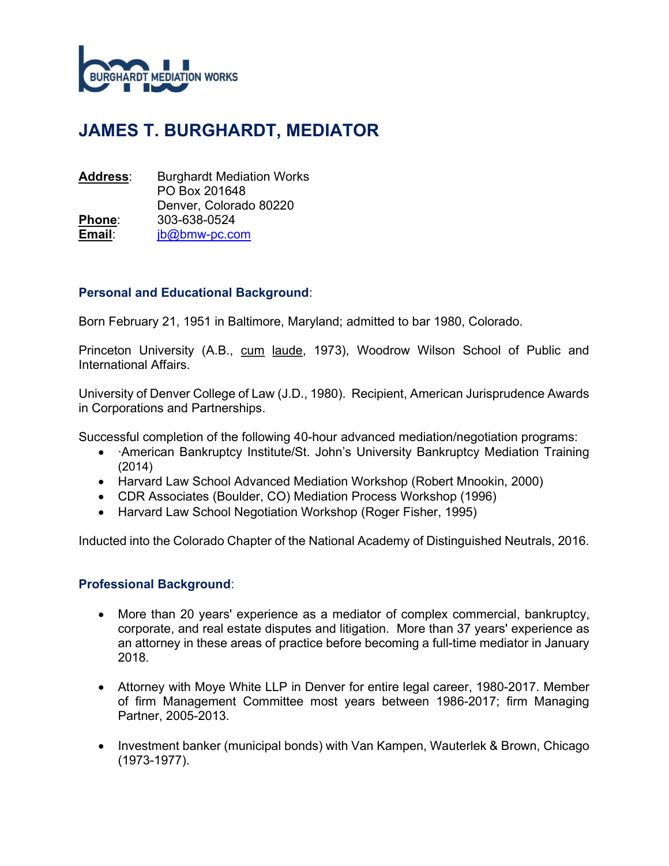

# JAMES T. BURGHARDT, MEDIATOR

| <b>Address:</b> | <b>Burghardt Mediation Works</b> |
|-----------------|----------------------------------|
|                 | PO Box 201648                    |
|                 | Denver, Colorado 80220           |
| <u>Phone:</u>   | 303-638-0524                     |
| Email:          | jb@bmw-pc.com                    |

## Personal and Educational Background:

Born February 21, 1951 in Baltimore, Maryland; admitted to bar 1980, Colorado.

Princeton University (A.B., cum laude, 1973), Woodrow Wilson School of Public and International Affairs.

University of Denver College of Law (J.D., 1980). Recipient, American Jurisprudence Awards in Corporations and Partnerships.

Successful completion of the following 40-hour advanced mediation/negotiation programs:

- ∙American Bankruptcy Institute/St. John's University Bankruptcy Mediation Training (2014)
- Harvard Law School Advanced Mediation Workshop (Robert Mnookin, 2000)
- CDR Associates (Boulder, CO) Mediation Process Workshop (1996)
- Harvard Law School Negotiation Workshop (Roger Fisher, 1995)

Inducted into the Colorado Chapter of the National Academy of Distinguished Neutrals, 2016.

## Professional Background:

- More than 20 years' experience as a mediator of complex commercial, bankruptcy, corporate, and real estate disputes and litigation. More than 37 years' experience as an attorney in these areas of practice before becoming a full-time mediator in January 2018.
- Attorney with Moye White LLP in Denver for entire legal career, 1980-2017. Member of firm Management Committee most years between 1986-2017; firm Managing Partner, 2005-2013.
- Investment banker (municipal bonds) with Van Kampen, Wauterlek & Brown, Chicago (1973-1977).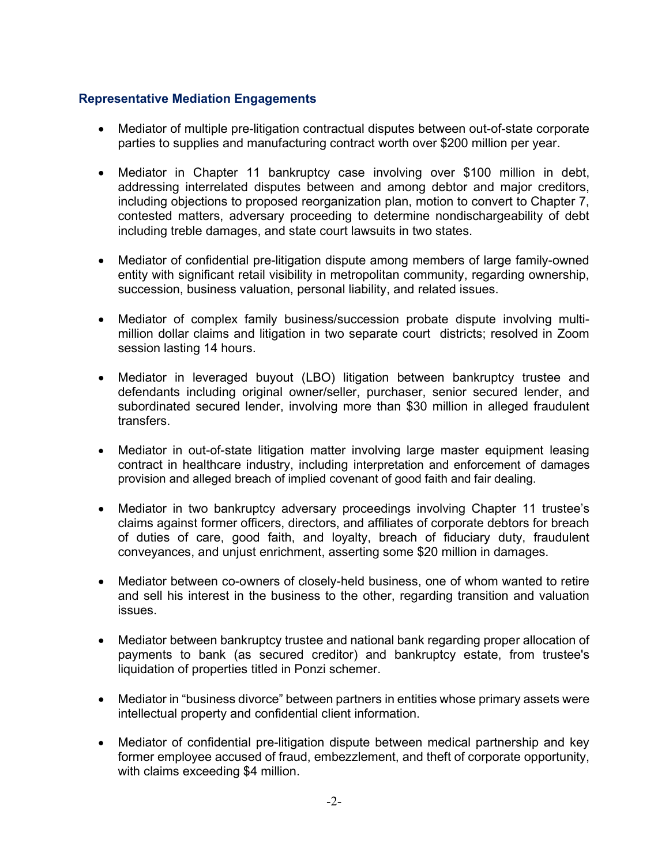## Representative Mediation Engagements

- Mediator of multiple pre-litigation contractual disputes between out-of-state corporate parties to supplies and manufacturing contract worth over \$200 million per year.
- Mediator in Chapter 11 bankruptcy case involving over \$100 million in debt, addressing interrelated disputes between and among debtor and major creditors, including objections to proposed reorganization plan, motion to convert to Chapter 7, contested matters, adversary proceeding to determine nondischargeability of debt including treble damages, and state court lawsuits in two states.
- Mediator of confidential pre-litigation dispute among members of large family-owned entity with significant retail visibility in metropolitan community, regarding ownership, succession, business valuation, personal liability, and related issues.
- Mediator of complex family business/succession probate dispute involving multimillion dollar claims and litigation in two separate court districts; resolved in Zoom session lasting 14 hours.
- Mediator in leveraged buyout (LBO) litigation between bankruptcy trustee and defendants including original owner/seller, purchaser, senior secured lender, and subordinated secured lender, involving more than \$30 million in alleged fraudulent transfers.
- Mediator in out-of-state litigation matter involving large master equipment leasing contract in healthcare industry, including interpretation and enforcement of damages provision and alleged breach of implied covenant of good faith and fair dealing.
- Mediator in two bankruptcy adversary proceedings involving Chapter 11 trustee's claims against former officers, directors, and affiliates of corporate debtors for breach of duties of care, good faith, and loyalty, breach of fiduciary duty, fraudulent conveyances, and unjust enrichment, asserting some \$20 million in damages.
- Mediator between co-owners of closely-held business, one of whom wanted to retire and sell his interest in the business to the other, regarding transition and valuation issues.
- Mediator between bankruptcy trustee and national bank regarding proper allocation of payments to bank (as secured creditor) and bankruptcy estate, from trustee's liquidation of properties titled in Ponzi schemer.
- Mediator in "business divorce" between partners in entities whose primary assets were intellectual property and confidential client information.
- Mediator of confidential pre-litigation dispute between medical partnership and key former employee accused of fraud, embezzlement, and theft of corporate opportunity, with claims exceeding \$4 million.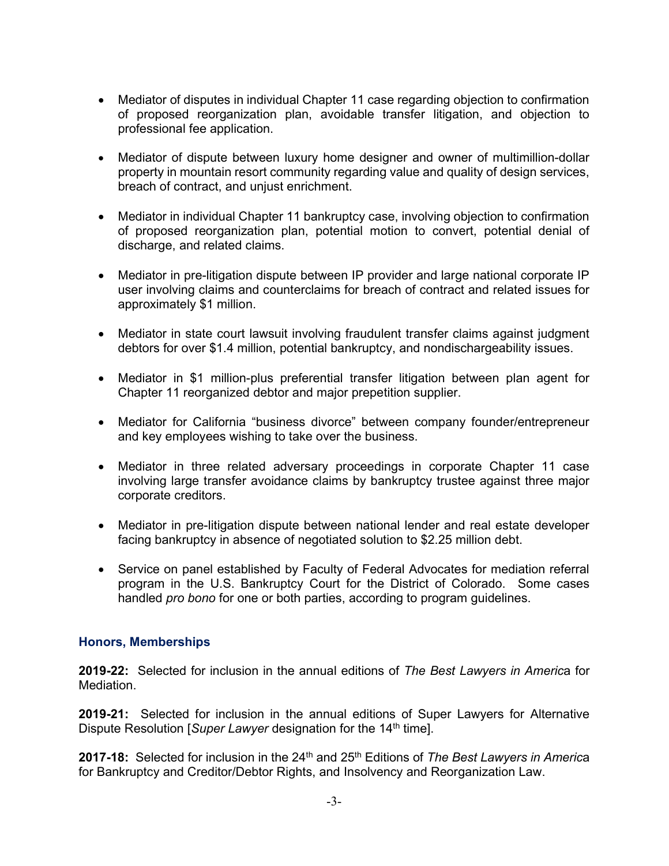- Mediator of disputes in individual Chapter 11 case regarding objection to confirmation of proposed reorganization plan, avoidable transfer litigation, and objection to professional fee application.
- Mediator of dispute between luxury home designer and owner of multimillion-dollar property in mountain resort community regarding value and quality of design services, breach of contract, and unjust enrichment.
- Mediator in individual Chapter 11 bankruptcy case, involving objection to confirmation of proposed reorganization plan, potential motion to convert, potential denial of discharge, and related claims.
- Mediator in pre-litigation dispute between IP provider and large national corporate IP user involving claims and counterclaims for breach of contract and related issues for approximately \$1 million.
- Mediator in state court lawsuit involving fraudulent transfer claims against judgment debtors for over \$1.4 million, potential bankruptcy, and nondischargeability issues.
- Mediator in \$1 million-plus preferential transfer litigation between plan agent for Chapter 11 reorganized debtor and major prepetition supplier.
- Mediator for California "business divorce" between company founder/entrepreneur and key employees wishing to take over the business.
- Mediator in three related adversary proceedings in corporate Chapter 11 case involving large transfer avoidance claims by bankruptcy trustee against three major corporate creditors.
- Mediator in pre-litigation dispute between national lender and real estate developer facing bankruptcy in absence of negotiated solution to \$2.25 million debt.
- Service on panel established by Faculty of Federal Advocates for mediation referral program in the U.S. Bankruptcy Court for the District of Colorado. Some cases handled pro bono for one or both parties, according to program guidelines.

## Honors, Memberships

2019-22: Selected for inclusion in the annual editions of The Best Lawyers in America for Mediation.

2019-21: Selected for inclusion in the annual editions of Super Lawyers for Alternative Dispute Resolution [Super Lawyer designation for the 14<sup>th</sup> time].

2017-18: Selected for inclusion in the  $24<sup>th</sup>$  and  $25<sup>th</sup>$  Editions of The Best Lawyers in America for Bankruptcy and Creditor/Debtor Rights, and Insolvency and Reorganization Law.